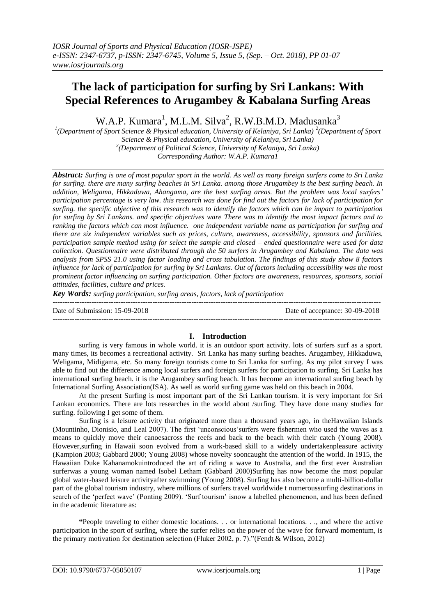# **The lack of participation for surfing by Sri Lankans: With Special References to Arugambey & Kabalana Surfing Areas**

W.A.P. Kumara<sup>1</sup>, M.L.M. Silva<sup>2</sup>, R.W.B.M.D. Madusanka<sup>3</sup>

<sup>1</sup>(Department of Sport Science & Physical education, University of Kelaniya, Sri Lanka)<sup>2</sup>(Department of Sport *Science & Physical education, University of Kelaniya, Sri Lanka) 3 (Department of Political Science, University of Kelaniya, Sri Lanka) Corresponding Author: W.A.P. Kumara1*

*Abstract: Surfing is one of most popular sport in the world. As well as many foreign surfers come to Sri Lanka for surfing. there are many surfing beaches in Sri Lanka. among those Arugambey is the best surfing beach. In addition, Weligama, Hikkaduwa, Ahangama, are the best surfing areas. But the problem was local surfers' participation percentage is very law. this research was done for find out the factors for lack of participation for surfing. the specific objective of this research was to identify the factors which can be impact to participation for surfing by Sri Lankans. and specific objectives ware There was to identify the most impact factors and to ranking the factors which can most influence. one independent variable name as participation for surfing and there are six independent variables such as prices, culture, awareness, accessibility, sponsors and facilities. participation sample method using for select the sample and closed – ended questionnaire were used for data collection. Questionnaire were distributed through the 50 surfers in Arugambey and Kabalana. The data was analysis from SPSS 21.0 using factor loading and cross tabulation. The findings of this study show 8 factors*  influence for lack of participation for surfing by Sri Lankans. Out of factors including accessibility was the most *prominent factor influencing on surfing participation. Other factors are awareness, resources, sponsors, social attitudes, facilities, culture and prices.*

*Key Words: surfing participation, surfing areas, factors, lack of participation* ---------------------------------------------------------------------------------------------------------------------------------------

Date of Submission: 15-09-2018 Date of acceptance: 30-09-2018

 $-1\leq i\leq n-1$ 

# **I. Introduction**

surfing is very famous in whole world. it is an outdoor sport activity. lots of surfers surf as a sport. many times, its becomes a recreational activity. Sri Lanka has many surfing beaches. Arugambey, Hikkaduwa, Weligama, Midigama, etc. So many foreign tourists come to Sri Lanka for surfing. As my pilot survey I was able to find out the difference among local surfers and foreign surfers for participation to surfing. Sri Lanka has international surfing beach. it is the Arugambey surfing beach. It has become an international surfing beach by International Surfing Association(ISA). As well as world surfing game was held on this beach in 2004.

At the present Surfing is most important part of the Sri Lankan tourism. it is very important for Sri Lankan economics. There are lots researches in the world about /surfing. They have done many studies for surfing. following I get some of them.

Surfing is a leisure activity that originated more than a thousand years ago, in theHawaiian Islands (Mountinho, Dionisio, and Leal 2007). The first "unconscious"surfers were fishermen who used the waves as a means to quickly move their canoesacross the reefs and back to the beach with their catch (Young 2008). However,surfing in Hawaii soon evolved from a work-based skill to a widely undertakenpleasure activity (Kampion 2003; Gabbard 2000; Young 2008) whose novelty sooncaught the attention of the world. In 1915, the Hawaiian Duke Kahanamokuintroduced the art of riding a wave to Australia, and the first ever Australian surferwas a young woman named Isobel Letham (Gabbard 2000)Surfing has now become the most popular global water-based leisure activityafter swimming (Young 2008). Surfing has also become a multi-billion-dollar part of the global tourism industry, where millions of surfers travel worldwide t numeroussurfing destinations in search of the "perfect wave" (Ponting 2009). "Surf tourism" isnow a labelled phenomenon, and has been defined in the academic literature as:

**"**People traveling to either domestic locations. . . or international locations. . ., and where the active participation in the sport of surfing, where the surfer relies on the power of the wave for forward momentum, is the primary motivation for destination selection (Fluker 2002, p. 7)."(Fendt & Wilson, 2012)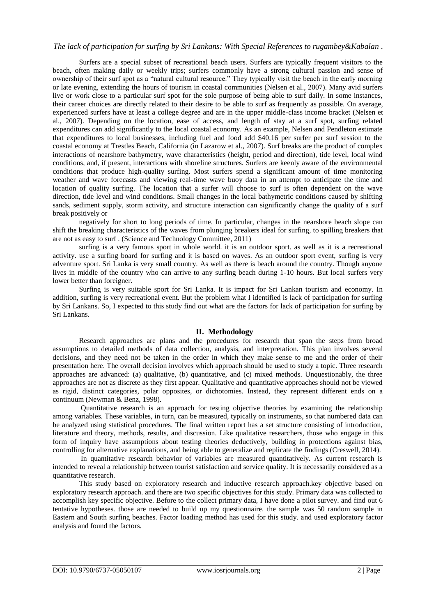# *The lack of participation for surfing by Sri Lankans: With Special References to rugambey&Kabalan .*

Surfers are a special subset of recreational beach users. Surfers are typically frequent visitors to the beach, often making daily or weekly trips; surfers commonly have a strong cultural passion and sense of ownership of their surf spot as a "natural cultural resource." They typically visit the beach in the early morning or late evening, extending the hours of tourism in coastal communities (Nelsen et al., 2007). Many avid surfers live or work close to a particular surf spot for the sole purpose of being able to surf daily. In some instances, their career choices are directly related to their desire to be able to surf as frequently as possible. On average, experienced surfers have at least a college degree and are in the upper middle-class income bracket (Nelsen et al., 2007). Depending on the location, ease of access, and length of stay at a surf spot, surfing related expenditures can add significantly to the local coastal economy. As an example, Nelsen and Pendleton estimate that expenditures to local businesses, including fuel and food add \$40.16 per surfer per surf session to the coastal economy at Trestles Beach, California (in Lazarow et al., 2007). Surf breaks are the product of complex interactions of nearshore bathymetry, wave characteristics (height, period and direction), tide level, local wind conditions, and, if present, interactions with shoreline structures. Surfers are keenly aware of the environmental conditions that produce high-quality surfing. Most surfers spend a significant amount of time monitoring weather and wave forecasts and viewing real-time wave buoy data in an attempt to anticipate the time and location of quality surfing. The location that a surfer will choose to surf is often dependent on the wave direction, tide level and wind conditions. Small changes in the local bathymetric conditions caused by shifting sands, sediment supply, storm activity, and structure interaction can significantly change the quality of a surf break positively or

negatively for short to long periods of time. In particular, changes in the nearshore beach slope can shift the breaking characteristics of the waves from plunging breakers ideal for surfing, to spilling breakers that are not as easy to surf . (Science and Technology Committee, 2011)

surfing is a very famous sport in whole world. it is an outdoor sport. as well as it is a recreational activity. use a surfing board for surfing and it is based on waves. As an outdoor sport event, surfing is very adventure sport. Sri Lanka is very small country. As well as there is beach around the country. Though anyone lives in middle of the country who can arrive to any surfing beach during 1-10 hours. But local surfers very lower better than foreigner.

Surfing is very suitable sport for Sri Lanka. It is impact for Sri Lankan tourism and economy. In addition, surfing is very recreational event. But the problem what I identified is lack of participation for surfing by Sri Lankans. So, I expected to this study find out what are the factors for lack of participation for surfing by Sri Lankans.

# **II. Methodology**

Research approaches are plans and the procedures for research that span the steps from broad assumptions to detailed methods of data collection, analysis, and interpretation. This plan involves several decisions, and they need not be taken in the order in which they make sense to me and the order of their presentation here. The overall decision involves which approach should be used to study a topic. Three research approaches are advanced: (a) qualitative, (b) quantitative, and (c) mixed methods. Unquestionably, the three approaches are not as discrete as they first appear. Qualitative and quantitative approaches should not be viewed as rigid, distinct categories, polar opposites, or dichotomies. Instead, they represent different ends on a continuum (Newman & Benz, 1998).

Quantitative research is an approach for testing objective theories by examining the relationship among variables. These variables, in turn, can be measured, typically on instruments, so that numbered data can be analyzed using statistical procedures. The final written report has a set structure consisting of introduction, literature and theory, methods, results, and discussion. Like qualitative researchers, those who engage in this form of inquiry have assumptions about testing theories deductively, building in protections against bias, controlling for alternative explanations, and being able to generalize and replicate the findings (Creswell, 2014).

In quantitative research behavior of variables are measured quantitatively. As current research is intended to reveal a relationship between tourist satisfaction and service quality. It is necessarily considered as a quantitative research.

This study based on exploratory research and inductive research approach.key objective based on exploratory research approach. and there are two specific objectives for this study. Primary data was collected to accomplish key specific objective. Before to the collect primary data, I have done a pilot survey. and find out 6 tentative hypotheses. those are needed to build up my questionnaire. the sample was 50 random sample in Eastern and South surfing beaches. Factor loading method has used for this study. and used exploratory factor analysis and found the factors.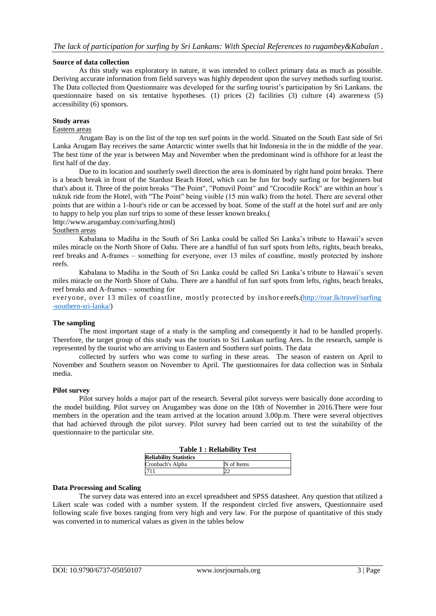## **Source of data collection**

As this study was exploratory in nature, it was intended to collect primary data as much as possible. Deriving accurate information from field surveys was highly dependent upon the survey methods surfing tourist. The Data collected from Questionnaire was developed for the surfing tourist"s participation by Sri Lankans. the questionnaire based on six tentative hypotheses. (1) prices (2) facilities (3) culture (4) awareness (5) accessibility (6) sponsors.

## **Study areas**

#### Eastern areas

Arugam Bay is on the list of the top ten surf points in the world. Situated on the South East side of Sri Lanka Arugam Bay receives the same Antarctic winter swells that hit Indonesia in the in the middle of the year. The best time of the year is between May and November when the predominant wind is offshore for at least the first half of the day.

Due to its location and southerly swell direction the area is dominated by right hand point breaks. There is a beach break in front of the Stardust Beach Hotel, which can be fun for body surfing or for beginners but that's about it. Three of the point breaks "The Point", "Pottuvil Point" and "Crocodile Rock" are within an hour´s tuktuk ride from the Hotel, with "The Point" being visible (15 min walk) from the hotel. There are several other points that are within a 1-hour's ride or can be accessed by boat. Some of the staff at the hotel surf and are only to happy to help you plan surf trips to some of these lesser known breaks.(

http://www.arugambay.com/surfing.html)

# Southern areas

Kabalana to Madiha in the South of Sri Lanka could be called Sri Lanka"s tribute to Hawaii"s seven miles miracle on the North Shore of Oahu. There are a handful of fun surf spots from lefts, rights, beach breaks, reef breaks and A-frames – something for everyone, over 13 miles of coastline, mostly protected by inshore reefs.

Kabalana to Madiha in the South of Sri Lanka could be called Sri Lanka"s tribute to Hawaii"s seven miles miracle on the North Shore of Oahu. There are a handful of fun surf spots from lefts, rights, beach breaks, reef breaks and A-frames – something for

everyone, over 13 miles of coastline, mostly protected by inshor ereefs.[\(http://roar.lk/travel/surfing](http://roar.lk/travel/surfing-southern-sri-lanka/) [-southern-sri-lanka/\)](http://roar.lk/travel/surfing-southern-sri-lanka/)

## **The sampling**

The most important stage of a study is the sampling and consequently it had to be handled properly. Therefore, the target group of this study was the tourists to Sri Lankan surfing Ares. In the research, sample is represented by the tourist who are arriving to Eastern and Southern surf points. The data

collected by surfers who was come to surfing in these areas. The season of eastern on April to November and Southern season on November to April. The questionnaires for data collection was in Sinhala media.

#### **Pilot survey**

Pilot survey holds a major part of the research. Several pilot surveys were basically done according to the model building. Pilot survey on Arugambey was done on the 10th of November in 2016.There were four members in the operation and the team arrived at the location around 3.00p.m. There were several objectives that had achieved through the pilot survey. Pilot survey had been carried out to test the suitability of the questionnaire to the particular site.

| <b>Table 1: Reliability Test</b> |            |  |  |
|----------------------------------|------------|--|--|
| <b>Reliability Statistics</b>    |            |  |  |
| Cronbach's Alpha                 | N of Items |  |  |
| .711                             |            |  |  |

## **Data Processing and Scaling**

The survey data was entered into an excel spreadsheet and SPSS datasheet. Any question that utilized a Likert scale was coded with a number system. If the respondent circled five answers, Questionnaire used following scale five boxes ranging from very high and very law. For the purpose of quantitative of this study was converted in to numerical values as given in the tables below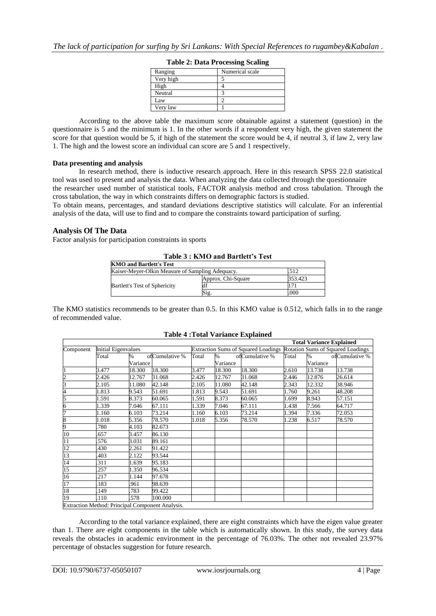| Ranging   | Numerical scale |
|-----------|-----------------|
| Very high |                 |
| High      |                 |
| Neutral   |                 |
| Law       |                 |
| Very law  |                 |

| <b>Table 2: Data Processing Scaling</b> |  |  |
|-----------------------------------------|--|--|
|-----------------------------------------|--|--|

According to the above table the maximum score obtainable against a statement (question) in the questionnaire is 5 and the minimum is 1. In the other words if a respondent very high, the given statement the score for that question would be 5, if high of the statement the score would be 4, if neutral 3, if law 2, very law 1. The high and the lowest score an individual can score are 5 and 1 respectively.

## **Data presenting and analysis**

In research method, there is inductive research approach. Here in this research SPSS 22.0 statistical tool was used to present and analysis the data. When analyzing the data collected through the questionnaire

the researcher used number of statistical tools, FACTOR analysis method and cross tabulation. Through the cross tabulation, the way in which constraints differs on demographic factors is studied.

To obtain means, percentages, and standard deviations descriptive statistics will calculate. For an inferential analysis of the data, will use to find and to compare the constraints toward participation of surfing.

#### **Analysis Of The Data**

Factor analysis for participation constraints in sports

## **Table 3 : KMO and Bartlett's Test**

| <b>KMO and Bartlett's Test</b>                          |                    |         |  |  |
|---------------------------------------------------------|--------------------|---------|--|--|
| Kaiser-Meyer-Olkin Measure of Sampling Adequacy.<br>512 |                    |         |  |  |
|                                                         | Approx. Chi-Square | 353.423 |  |  |
| <b>Bartlett's Test of Sphericity</b>                    |                    |         |  |  |
|                                                         | Sig                | .000    |  |  |

The KMO statistics recommends to be greater than 0.5. In this KMO value is 0.512, which falls in to the range of recommended value.

|                 |                            |               |                                                  |       |               |                                            |       | <b>Total Variance Explained</b> |                                   |
|-----------------|----------------------------|---------------|--------------------------------------------------|-------|---------------|--------------------------------------------|-------|---------------------------------|-----------------------------------|
| Component       | <b>Initial Eigenvalues</b> |               |                                                  |       |               | <b>Extraction Sums of Squared Loadings</b> |       |                                 | Rotation Sums of Squared Loadings |
|                 | Total                      | $\frac{9}{6}$ | ofCumulative %                                   | Total | $\frac{1}{2}$ | ofCumulative %                             | Total | $\frac{9}{6}$                   | ofCumulative %                    |
|                 |                            | Variance      |                                                  |       | Variance      |                                            |       | Variance                        |                                   |
|                 | 3.477                      | 18.300        | 18.300                                           | 3.477 | 18.300        | 18.300                                     | 2.610 | 13.738                          | 13.738                            |
| $\overline{c}$  | 2.426                      | 12.767        | 31.068                                           | 2.426 | 12.767        | 31.068                                     | 2.446 | 12.876                          | 26.614                            |
| 3               | 2.105                      | 11.080        | 42.148                                           | 2.105 | 11.080        | 42.148                                     | 2.343 | 12.332                          | 38.946                            |
| 4               | 1.813                      | 9.543         | 51.691                                           | 1.813 | 9.543         | 51.691                                     | 1.760 | 9.261                           | 48.208                            |
| 5               | 1.591                      | 8.373         | 60.065                                           | 1.591 | 8.373         | 60.065                                     | 1.699 | 8.943                           | 57.151                            |
| 6               | 1.339                      | 7.046         | 67.111                                           | 1.339 | 7.046         | 67.111                                     | 1.438 | 7.566                           | 64.717                            |
| 7               | 1.160                      | 6.103         | 73.214                                           | 1.160 | 6.103         | 73.214                                     | 1.394 | 7.336                           | 72.053                            |
| 8               | 1.018                      | 5.356         | 78.570                                           | 1.018 | 5.356         | 78.570                                     | 1.238 | 6.517                           | 78.570                            |
| 9               | 780                        | 4.103         | 82.673                                           |       |               |                                            |       |                                 |                                   |
| 10              | 657                        | 3.457         | 86.130                                           |       |               |                                            |       |                                 |                                   |
| $\overline{11}$ | 576                        | 3.031         | 89.161                                           |       |               |                                            |       |                                 |                                   |
| 12              | 430                        | 2.261         | 91.422                                           |       |               |                                            |       |                                 |                                   |
| 13              | 403                        | 2.122         | 93.544                                           |       |               |                                            |       |                                 |                                   |
| $\overline{14}$ | 311                        | 1.639         | 95.183                                           |       |               |                                            |       |                                 |                                   |
| $\overline{15}$ | .257                       | 1.350         | 96.534                                           |       |               |                                            |       |                                 |                                   |
| 16              | .217                       | 1.144         | 97.678                                           |       |               |                                            |       |                                 |                                   |
| 17              | 183                        | 961           | 98.639                                           |       |               |                                            |       |                                 |                                   |
| 18              | 149                        | 783           | 99.422                                           |       |               |                                            |       |                                 |                                   |
| 19              | 110                        | .578          | 100.000                                          |       |               |                                            |       |                                 |                                   |
|                 |                            |               | Extraction Method: Principal Component Analysis. |       |               |                                            |       |                                 |                                   |

#### **Table 4 :Total Variance Explained**

According to the total variance explained, there are eight constraints which have the eigen value greater than 1. There are eight components in the table which is automatically shown. In this study, the survey data reveals the obstacles in academic environment in the percentage of 76.03%. The other not revealed 23.97% percentage of obstacles suggestion for future research.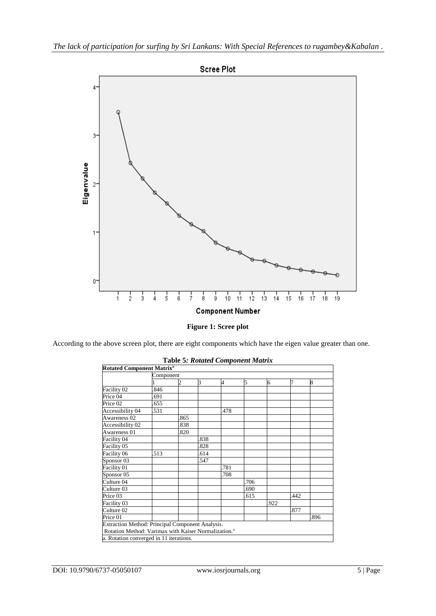



According to the above screen plot, there are eight components which have the eigen value greater than one.

| <b>Rotated Component Matrix<sup>a</sup></b>                                                                          |           |     |      |     |      |     |     |     |
|----------------------------------------------------------------------------------------------------------------------|-----------|-----|------|-----|------|-----|-----|-----|
|                                                                                                                      | Component |     |      |     |      |     |     |     |
|                                                                                                                      |           |     | 3    | 4   | 5    | 6   | 7   | 8   |
| Facility 02                                                                                                          | 846       |     |      |     |      |     |     |     |
| Price 04                                                                                                             | 691       |     |      |     |      |     |     |     |
| Price 02                                                                                                             | 655       |     |      |     |      |     |     |     |
| Accessibility 04                                                                                                     | 531       |     |      | 478 |      |     |     |     |
| Awareness <sub>02</sub>                                                                                              |           | 865 |      |     |      |     |     |     |
| Accessibility 02                                                                                                     |           | 838 |      |     |      |     |     |     |
| Awareness 01                                                                                                         |           | 820 |      |     |      |     |     |     |
| Facility 04                                                                                                          |           |     | 838  |     |      |     |     |     |
| Facility 05                                                                                                          |           |     | 828  |     |      |     |     |     |
| Facility 06                                                                                                          | 513       |     | .614 |     |      |     |     |     |
| Sponsor <sub>03</sub>                                                                                                |           |     | 547  |     |      |     |     |     |
| Facility 01                                                                                                          |           |     |      | 781 |      |     |     |     |
| Sponsor 05                                                                                                           |           |     |      | 708 |      |     |     |     |
| Culture 04                                                                                                           |           |     |      |     | 706  |     |     |     |
| Culture 03                                                                                                           |           |     |      |     | .690 |     |     |     |
| Price 03                                                                                                             |           |     |      |     | 615  |     | 442 |     |
| Facility 03                                                                                                          |           |     |      |     |      | 922 |     |     |
| Culture 02                                                                                                           |           |     |      |     |      |     | 877 |     |
| Price 01                                                                                                             |           |     |      |     |      |     |     | 896 |
| Extraction Method: Principal Component Analysis.<br>Rotation Method: Varimax with Kaiser Normalization. <sup>a</sup> |           |     |      |     |      |     |     |     |
| a. Rotation converged in 11 iterations.                                                                              |           |     |      |     |      |     |     |     |

# **Table 5***: Rotated Component Matrix*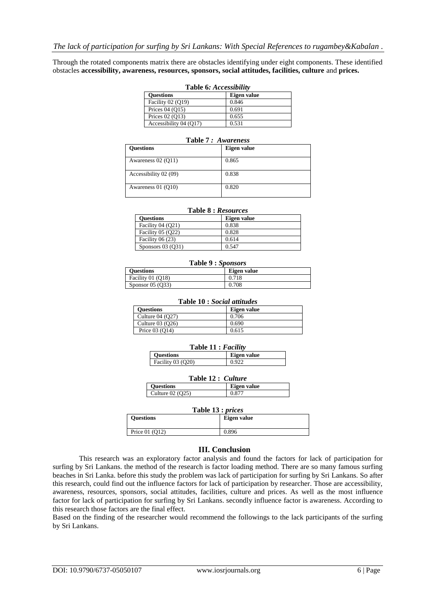Through the rotated components matrix there are obstacles identifying under eight components. These identified obstacles **accessibility, awareness, resources, sponsors, social attitudes, facilities, culture** and **prices.** 

| Table 6: Accessibility |             |  |  |  |
|------------------------|-------------|--|--|--|
| <b>Ouestions</b>       | Eigen value |  |  |  |
| Facility $02(019)$     | 0.846       |  |  |  |
| Prices $04(015)$       | 0.691       |  |  |  |
| Prices $02(013)$       | 0.655       |  |  |  |
| Accessibility 04 (Q17) | 0.531       |  |  |  |

| Table <i>T: Awareness</i> |             |  |  |  |
|---------------------------|-------------|--|--|--|
| <b>Ouestions</b>          | Eigen value |  |  |  |
| Awareness 02 (O11)        | 0.865       |  |  |  |
| Accessibility 02 (09)     | 0.838       |  |  |  |
| Awareness 01 (O10)        | 0.820       |  |  |  |

#### **Table 7** *: Awareness*

|  | Table 8 : Resources |
|--|---------------------|
|  |                     |

| <b>Ouestions</b>   | Eigen value |
|--------------------|-------------|
| Facility $04(021)$ | 0.838       |
| Facility 05 (Q22)  | 0.828       |
| Facility $06(23)$  | 0.614       |
| Sponsors $03(031)$ | 0.547       |

#### **Table 9 :** *Sponsors*

| <b>Ouestions</b>     | Eigen value |
|----------------------|-------------|
| Facility 01 (O18)    | 0.718       |
| Sponsor $05($ $Q33)$ | 0.708       |

| <b>Table 10: Social attitudes</b> |             |  |  |  |
|-----------------------------------|-------------|--|--|--|
| <b>Ouestions</b>                  | Eigen value |  |  |  |
| Culture $04(027)$                 | 0.706       |  |  |  |
| Culture 03 (O26)                  | 0.690       |  |  |  |
| Price $03(014)$                   | 0.615       |  |  |  |

#### **Table 11 :** *Facility*

| <b>Ouestions</b>  | Eigen value |
|-------------------|-------------|
| Facility 03 (Q20) | 0.922       |
|                   |             |

| Table 12: Culture |             |  |
|-------------------|-------------|--|
| <b>Ouestions</b>  | Eigen value |  |
| Culture 02 (Q25)  | 0.877       |  |

#### **Table 13 :** *prices*

| <b>Ouestions</b> | Eigen value |
|------------------|-------------|
| Price $01(012)$  | 0.896       |

## **III. Conclusion**

This research was an exploratory factor analysis and found the factors for lack of participation for surfing by Sri Lankans. the method of the research is factor loading method. There are so many famous surfing beaches in Sri Lanka. before this study the problem was lack of participation for surfing by Sri Lankans. So after this research, could find out the influence factors for lack of participation by researcher. Those are accessibility, awareness, resources, sponsors, social attitudes, facilities, culture and prices. As well as the most influence factor for lack of participation for surfing by Sri Lankans. secondly influence factor is awareness. According to this research those factors are the final effect.

Based on the finding of the researcher would recommend the followings to the lack participants of the surfing by Sri Lankans.